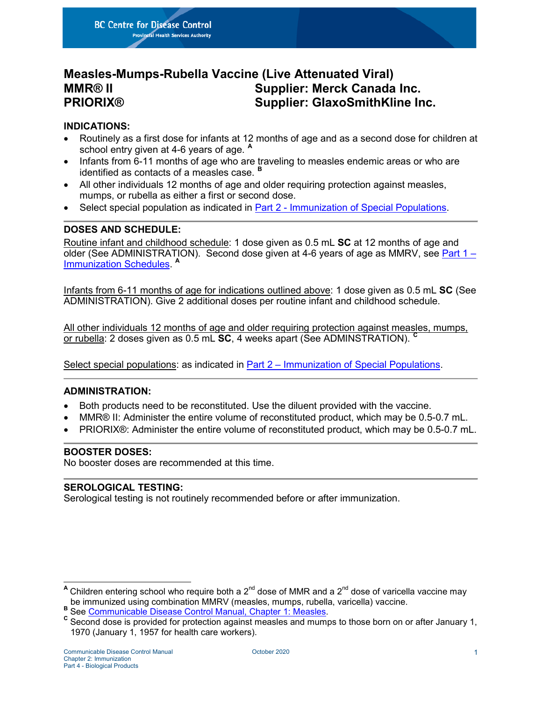**BC Centre for Disease Control Provincial Health Services Authority** 

# **Measles-Mumps-Rubella Vaccine (Live Attenuated Viral) MMR® II Supplier: Merck Canada Inc. PRIORIX® Supplier: GlaxoSmithKline Inc.**

#### **INDICATIONS:**

- Routinely as a first dose for infants at 12 months of age and as a second dose for children at school entry given at 4-6 years of age. **[A](#page-0-0)**
- Infants from 6-11 months of age who are traveling to measles endemic areas or who are identified as contacts of a measles case. **[B](#page-0-1)**
- All other individuals 12 months of age and older requiring protection against measles, mumps, or rubella as either a first or second dose.
- Select special population as indicated in Part 2 [Immunization of Special Populations.](http://www.bccdc.ca/health-professionals/clinical-resources/communicable-disease-control-manual/immunization/immunization-of-special-populations)

# **DOSES AND SCHEDULE:**

Routine infant and childhood schedule: 1 dose given as 0.5 mL **SC** at 12 months of age and older (See ADMINISTRATION). Second dose given at 4-6 years of age as MMRV, see [Part](http://www.bccdc.ca/resource-gallery/Documents/Guidelines%20and%20Forms/Guidelines%20and%20Manuals/Epid/CD%20Manual/Chapter%202%20-%20Imms/Part_1_Schedules.pdf) 1 – [Immunization Schedules.](http://www.bccdc.ca/resource-gallery/Documents/Guidelines%20and%20Forms/Guidelines%20and%20Manuals/Epid/CD%20Manual/Chapter%202%20-%20Imms/Part_1_Schedules.pdf) **<sup>A</sup>**

Infants from 6-11 months of age for indications outlined above: 1 dose given as 0.5 mL **SC** (See ADMINISTRATION). Give 2 additional doses per routine infant and childhood schedule.

All other individuals 12 months of age and older requiring protection against measles, mumps, or rubella: 2 doses given as 0.5 mL **SC**, 4 weeks apart (See ADMINSTRATION). **[C](#page-0-2)**

Select special populations: as indicated in Part 2 – [Immunization of Special Populations.](http://www.bccdc.ca/health-professionals/clinical-resources/communicable-disease-control-manual/immunization/immunization-of-special-populations)

# **ADMINISTRATION:**

- Both products need to be reconstituted. Use the diluent provided with the vaccine.
- MMR® II: Administer the entire volume of reconstituted product, which may be 0.5-0.7 mL.
- PRIORIX®: Administer the entire volume of reconstituted product, which may be 0.5-0.7 mL.

#### **BOOSTER DOSES:**

No booster doses are recommended at this time.

#### **SEROLOGICAL TESTING:**

Serological testing is not routinely recommended before or after immunization.

<span id="page-0-0"></span>A Children entering school who require both a  $2^{nd}$  dose of MMR and a  $2^{nd}$  dose of varicella vaccine may be immunized using combination MMRV (measles, mumps, rubella, varicella) vaccine.

<span id="page-0-2"></span><span id="page-0-1"></span>B<br>See [Communicable Disease Control Manual, Chapter 1: Measles.](http://www.bccdc.ca/resource-gallery/Documents/Guidelines%20and%20Forms/Guidelines%20and%20Manuals/Epid/CD%20Manual/Chapter%201%20-%20CDC/MeaslesSeptember2014.pdf)<br>C Second dose is provided for protection against measles and mumps to those born on or after January 1. 1970 (January 1, 1957 for health care workers).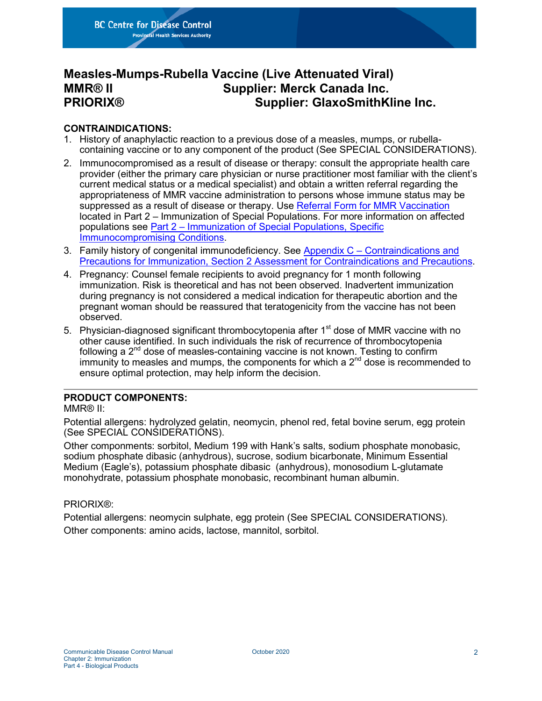**BC Centre for Disease Control Provincial Health Services Authority** 

# **Measles-Mumps-Rubella Vaccine (Live Attenuated Viral) MMR® II Supplier: Merck Canada Inc. PRIORIX® Supplier: GlaxoSmithKline Inc.**

### **CONTRAINDICATIONS:**

- 1. History of anaphylactic reaction to a previous dose of a measles, mumps, or rubellacontaining vaccine or to any component of the product (See SPECIAL CONSIDERATIONS).
- 2. Immunocompromised as a result of disease or therapy: consult the appropriate health care provider (either the primary care physician or nurse practitioner most familiar with the client's current medical status or a medical specialist) and obtain a written referral regarding the appropriateness of MMR vaccine administration to persons whose immune status may be suppressed as a result of disease or therapy. Use [Referral Form for MMR Vaccination](http://www.bccdc.ca/resource-gallery/Documents/Guidelines%20and%20Forms/Guidelines%20and%20Manuals/Epid/CD%20Manual/Chapter%202%20-%20Imms/Part2/ReferralFormMMR.pdf) located in Part 2 – Immunization of Special Populations. For more information on affected populations see Part 2 – [Immunization of Special Populations, Specific](http://www.bccdc.ca/health-professionals/clinical-resources/communicable-disease-control-manual/immunization/immunization-of-special-populations)  [Immunocompromising Conditions.](http://www.bccdc.ca/health-professionals/clinical-resources/communicable-disease-control-manual/immunization/immunization-of-special-populations)
- 3. Family history of congenital immunodeficiency. See Appendix C [Contraindications and](http://www.bccdc.ca/resource-gallery/Documents/Guidelines%20and%20Forms/Guidelines%20and%20Manuals/Epid/CD%20Manual/Chapter%202%20-%20Imms/Appendix_C_ContraindicationsPrecautions.pdf)  Precautions for Immunization, Section 2 [Assessment for Contraindications and Precautions.](http://www.bccdc.ca/resource-gallery/Documents/Guidelines%20and%20Forms/Guidelines%20and%20Manuals/Epid/CD%20Manual/Chapter%202%20-%20Imms/Appendix_C_ContraindicationsPrecautions.pdf)
- 4. Pregnancy: Counsel female recipients to avoid pregnancy for 1 month following immunization. Risk is theoretical and has not been observed. Inadvertent immunization during pregnancy is not considered a medical indication for therapeutic abortion and the pregnant woman should be reassured that teratogenicity from the vaccine has not been observed.
- 5. Physician-diagnosed significant thrombocytopenia after  $1<sup>st</sup>$  dose of MMR vaccine with no other cause identified. In such individuals the risk of recurrence of thrombocytopenia following a  $2<sup>nd</sup>$  dose of measles-containing vaccine is not known. Testing to confirm immunity to measles and mumps, the components for which a  $2<sup>nd</sup>$  dose is recommended to ensure optimal protection, may help inform the decision.

# **PRODUCT COMPONENTS:**

#### MMR® II:

Potential allergens: hydrolyzed gelatin, neomycin, phenol red, fetal bovine serum, egg protein (See SPECIAL CONSIDERATIONS).

Other componments: sorbitol, Medium 199 with Hank's salts, sodium phosphate monobasic, sodium phosphate dibasic (anhydrous), sucrose, sodium bicarbonate, Minimum Essential Medium (Eagle's), potassium phosphate dibasic (anhydrous), monosodium L-glutamate monohydrate, potassium phosphate monobasic, recombinant human albumin.

#### PRIORIX®:

Potential allergens: neomycin sulphate, egg protein (See SPECIAL CONSIDERATIONS). Other components: amino acids, lactose, mannitol, sorbitol.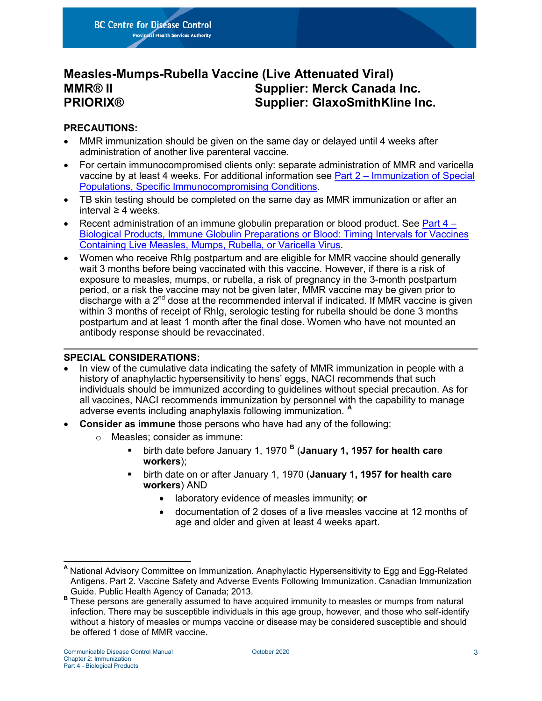**BC Centre for Disease Control Provincial Health Services Authority** 

# **Measles-Mumps-Rubella Vaccine (Live Attenuated Viral) MMR® II Supplier: Merck Canada Inc. PRIORIX® Supplier: GlaxoSmithKline Inc.**

# **PRECAUTIONS:**

- MMR immunization should be given on the same day or delayed until 4 weeks after administration of another live parenteral vaccine.
- For certain immunocompromised clients only: separate administration of MMR and varicella vaccine by at least 4 weeks. For additional information see Part 2 – [Immunization of Special](http://www.bccdc.ca/health-professionals/clinical-resources/communicable-disease-control-manual/immunization/immunization-of-special-populations)  [Populations, Specific Immunocompromising Conditions.](http://www.bccdc.ca/health-professionals/clinical-resources/communicable-disease-control-manual/immunization/immunization-of-special-populations)
- TB skin testing should be completed on the same day as MMR immunization or after an interval ≥ 4 weeks.
- Recent administration of an immune globulin preparation or blood product. See [Part](http://www.bccdc.ca/resource-gallery/Documents/Guidelines%20and%20Forms/Guidelines%20and%20Manuals/Epid/CD%20Manual/Chapter%202%20-%20Imms/Part4/Ig_BloodTimingIntervals.pdf) 4 [Biological Products, Immune Globulin Preparations or Blood: Timing Intervals for Vaccines](http://www.bccdc.ca/resource-gallery/Documents/Guidelines%20and%20Forms/Guidelines%20and%20Manuals/Epid/CD%20Manual/Chapter%202%20-%20Imms/Part4/Ig_BloodTimingIntervals.pdf)  [Containing Live Measles, Mumps, Rubella, or Varicella Virus.](http://www.bccdc.ca/resource-gallery/Documents/Guidelines%20and%20Forms/Guidelines%20and%20Manuals/Epid/CD%20Manual/Chapter%202%20-%20Imms/Part4/Ig_BloodTimingIntervals.pdf)
- Women who receive RhIg postpartum and are eligible for MMR vaccine should generally wait 3 months before being vaccinated with this vaccine. However, if there is a risk of exposure to measles, mumps, or rubella, a risk of pregnancy in the 3-month postpartum period, or a risk the vaccine may not be given later, MMR vaccine may be given prior to discharge with a  $2<sup>nd</sup>$  dose at the recommended interval if indicated. If MMR vaccine is given within 3 months of receipt of RhIg, serologic testing for rubella should be done 3 months postpartum and at least 1 month after the final dose. Women who have not mounted an antibody response should be revaccinated.

# **SPECIAL CONSIDERATIONS:**

- In view of the cumulative data indicating the safety of MMR immunization in people with a history of anaphylactic hypersensitivity to hens' eggs, NACI recommends that such individuals should be immunized according to guidelines without special precaution. As for all vaccines, NACI recommends immunization by personnel with the capability to manage adverse events including anaphylaxis following immunization. **[A](#page-2-0)**
- **Consider as immune** those persons who have had any of the following:
	- o Measles; consider as immune:
		- birth date before January 1, 1970 **[B](#page-2-1)** (**January 1, 1957 for health care workers**);
		- birth date on or after January 1, 1970 (**January 1, 1957 for health care workers**) AND
			- laboratory evidence of measles immunity; **or**
			- documentation of 2 doses of a live measles vaccine at 12 months of age and older and given at least 4 weeks apart.

<span id="page-2-0"></span>**<sup>A</sup>** National Advisory Committee on Immunization. Anaphylactic Hypersensitivity to Egg and Egg-Related Antigens. Part 2. Vaccine Safety and Adverse Events Following Immunization. Canadian Immunization

<span id="page-2-1"></span>Guide. Public Health Agency of Canada; 2013. **<sup>B</sup>** These persons are generally assumed to have acquired immunity to measles or mumps from natural infection. There may be susceptible individuals in this age group, however, and those who self-identify without a history of measles or mumps vaccine or disease may be considered susceptible and should be offered 1 dose of MMR vaccine.